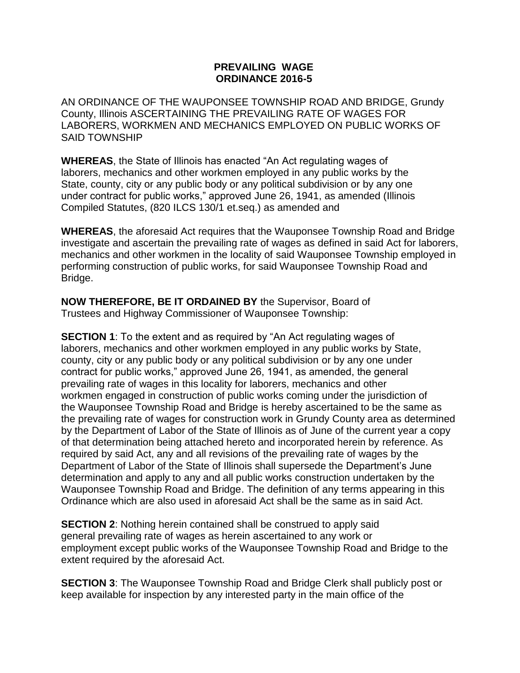## **PREVAILING WAGE ORDINANCE 2016-5**

AN ORDINANCE OF THE WAUPONSEE TOWNSHIP ROAD AND BRIDGE, Grundy County, Illinois ASCERTAINING THE PREVAILING RATE OF WAGES FOR LABORERS, WORKMEN AND MECHANICS EMPLOYED ON PUBLIC WORKS OF SAID TOWNSHIP

**WHEREAS**, the State of Illinois has enacted "An Act regulating wages of laborers, mechanics and other workmen employed in any public works by the State, county, city or any public body or any political subdivision or by any one under contract for public works," approved June 26, 1941, as amended (Illinois Compiled Statutes, (820 ILCS 130/1 et.seq.) as amended and

**WHEREAS**, the aforesaid Act requires that the Wauponsee Township Road and Bridge investigate and ascertain the prevailing rate of wages as defined in said Act for laborers, mechanics and other workmen in the locality of said Wauponsee Township employed in performing construction of public works, for said Wauponsee Township Road and Bridge.

**NOW THEREFORE, BE IT ORDAINED BY** the Supervisor, Board of Trustees and Highway Commissioner of Wauponsee Township:

**SECTION 1**: To the extent and as required by "An Act regulating wages of laborers, mechanics and other workmen employed in any public works by State, county, city or any public body or any political subdivision or by any one under contract for public works," approved June 26, 1941, as amended, the general prevailing rate of wages in this locality for laborers, mechanics and other workmen engaged in construction of public works coming under the jurisdiction of the Wauponsee Township Road and Bridge is hereby ascertained to be the same as the prevailing rate of wages for construction work in Grundy County area as determined by the Department of Labor of the State of Illinois as of June of the current year a copy of that determination being attached hereto and incorporated herein by reference. As required by said Act, any and all revisions of the prevailing rate of wages by the Department of Labor of the State of Illinois shall supersede the Department's June determination and apply to any and all public works construction undertaken by the Wauponsee Township Road and Bridge. The definition of any terms appearing in this Ordinance which are also used in aforesaid Act shall be the same as in said Act.

**SECTION 2:** Nothing herein contained shall be construed to apply said general prevailing rate of wages as herein ascertained to any work or employment except public works of the Wauponsee Township Road and Bridge to the extent required by the aforesaid Act.

**SECTION 3:** The Wauponsee Township Road and Bridge Clerk shall publicly post or keep available for inspection by any interested party in the main office of the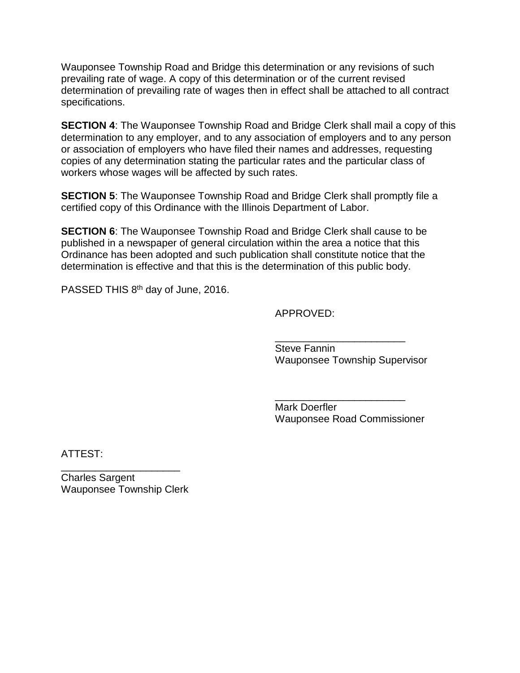Wauponsee Township Road and Bridge this determination or any revisions of such prevailing rate of wage. A copy of this determination or of the current revised determination of prevailing rate of wages then in effect shall be attached to all contract specifications.

**SECTION 4**: The Wauponsee Township Road and Bridge Clerk shall mail a copy of this determination to any employer, and to any association of employers and to any person or association of employers who have filed their names and addresses, requesting copies of any determination stating the particular rates and the particular class of workers whose wages will be affected by such rates.

**SECTION 5:** The Wauponsee Township Road and Bridge Clerk shall promptly file a certified copy of this Ordinance with the Illinois Department of Labor.

**SECTION 6:** The Wauponsee Township Road and Bridge Clerk shall cause to be published in a newspaper of general circulation within the area a notice that this Ordinance has been adopted and such publication shall constitute notice that the determination is effective and that this is the determination of this public body.

PASSED THIS 8<sup>th</sup> day of June, 2016.

APPROVED:

\_\_\_\_\_\_\_\_\_\_\_\_\_\_\_\_\_\_\_\_\_\_\_ Steve Fannin Wauponsee Township Supervisor

Mark Doerfler Wauponsee Road Commissioner

\_\_\_\_\_\_\_\_\_\_\_\_\_\_\_\_\_\_\_\_\_\_\_

ATTEST:

Charles Sargent Wauponsee Township Clerk

\_\_\_\_\_\_\_\_\_\_\_\_\_\_\_\_\_\_\_\_\_